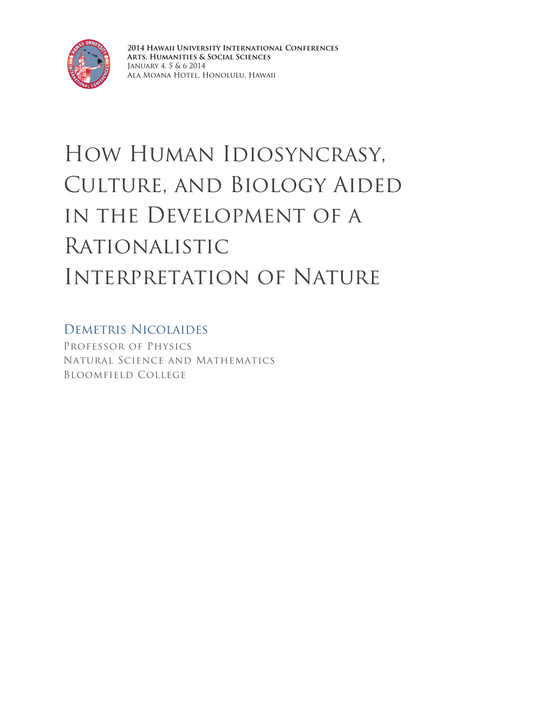

**2014 Hawaii University International Conferences Arts, Humanities & Social Sciences** January 4, 5 & 6 2014 Ala Moana Hotel, Honolulu, Hawaii

# How Human Idiosyncrasy, Culture, and Biology Aided in the Development of a Rationalistic Interpretation of Nature

# Demetris Nicolaides

Professor of Physics Natural Science and Mathematics Bloomfield College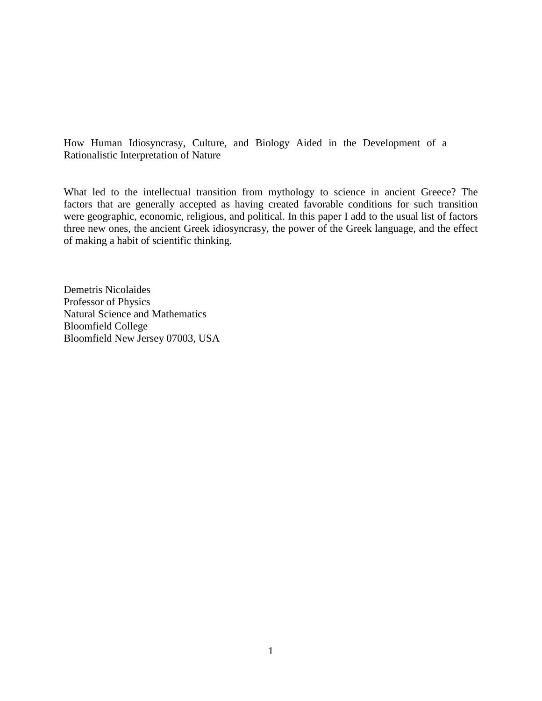How Human Idiosyncrasy, Culture, and Biology Aided in the Development of a Rationalistic Interpretation of Nature

What led to the intellectual transition from mythology to science in ancient Greece? The factors that are generally accepted as having created favorable conditions for such transition were geographic, economic, religious, and political. In this paper I add to the usual list of factors three new ones, the ancient Greek idiosyncrasy, the power of the Greek language, and the effect of making a habit of scientific thinking.

Demetris Nicolaides Professor of Physics Natural Science and Mathematics Bloomfield College Bloomfield New Jersey 07003, USA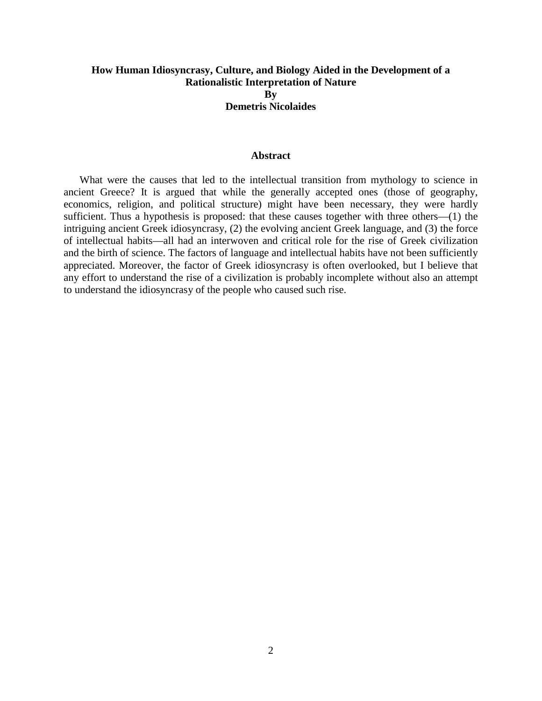# **How Human Idiosyncrasy, Culture, and Biology Aided in the Development of a Rationalistic Interpretation of Nature By Demetris Nicolaides**

#### **Abstract**

What were the causes that led to the intellectual transition from mythology to science in ancient Greece? It is argued that while the generally accepted ones (those of geography, economics, religion, and political structure) might have been necessary, they were hardly sufficient. Thus a hypothesis is proposed: that these causes together with three others—(1) the intriguing ancient Greek idiosyncrasy, (2) the evolving ancient Greek language, and (3) the force of intellectual habits—all had an interwoven and critical role for the rise of Greek civilization and the birth of science. The factors of language and intellectual habits have not been sufficiently appreciated. Moreover, the factor of Greek idiosyncrasy is often overlooked, but I believe that any effort to understand the rise of a civilization is probably incomplete without also an attempt to understand the idiosyncrasy of the people who caused such rise.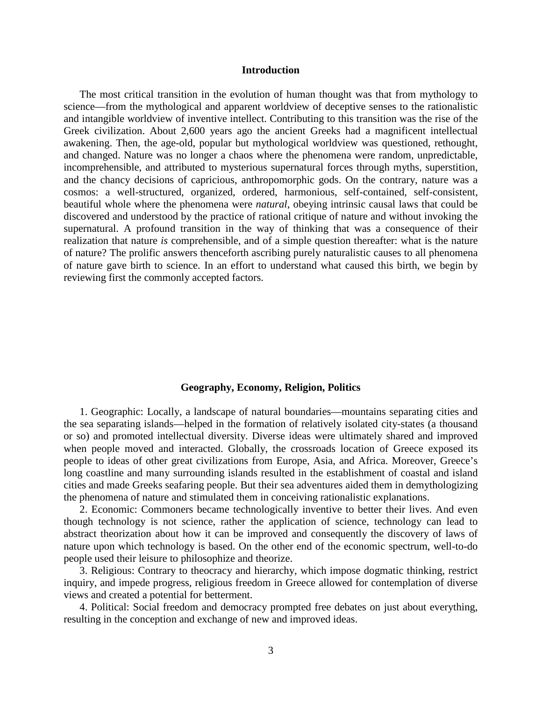#### **Introduction**

The most critical transition in the evolution of human thought was that from mythology to science—from the mythological and apparent worldview of deceptive senses to the rationalistic and intangible worldview of inventive intellect. Contributing to this transition was the rise of the Greek civilization. About 2,600 years ago the ancient Greeks had a magnificent intellectual awakening. Then, the age-old, popular but mythological worldview was questioned, rethought, and changed. Nature was no longer a chaos where the phenomena were random, unpredictable, incomprehensible, and attributed to mysterious supernatural forces through myths, superstition, and the chancy decisions of capricious, anthropomorphic gods. On the contrary, nature was a cosmos: a well-structured, organized, ordered, harmonious, self-contained, self-consistent, beautiful whole where the phenomena were *natural*, obeying intrinsic causal laws that could be discovered and understood by the practice of rational critique of nature and without invoking the supernatural. A profound transition in the way of thinking that was a consequence of their realization that nature *is* comprehensible, and of a simple question thereafter: what is the nature of nature? The prolific answers thenceforth ascribing purely naturalistic causes to all phenomena of nature gave birth to science. In an effort to understand what caused this birth, we begin by reviewing first the commonly accepted factors.

#### **Geography, Economy, Religion, Politics**

1. Geographic: Locally, a landscape of natural boundaries—mountains separating cities and the sea separating islands—helped in the formation of relatively isolated city-states (a thousand or so) and promoted intellectual diversity. Diverse ideas were ultimately shared and improved when people moved and interacted. Globally, the crossroads location of Greece exposed its people to ideas of other great civilizations from Europe, Asia, and Africa. Moreover, Greece's long coastline and many surrounding islands resulted in the establishment of coastal and island cities and made Greeks seafaring people. But their sea adventures aided them in demythologizing the phenomena of nature and stimulated them in conceiving rationalistic explanations.

2. Economic: Commoners became technologically inventive to better their lives. And even though technology is not science, rather the application of science, technology can lead to abstract theorization about how it can be improved and consequently the discovery of laws of nature upon which technology is based. On the other end of the economic spectrum, well-to-do people used their leisure to philosophize and theorize.

3. Religious: Contrary to theocracy and hierarchy, which impose dogmatic thinking, restrict inquiry, and impede progress, religious freedom in Greece allowed for contemplation of diverse views and created a potential for betterment.

4. Political: Social freedom and democracy prompted free debates on just about everything, resulting in the conception and exchange of new and improved ideas.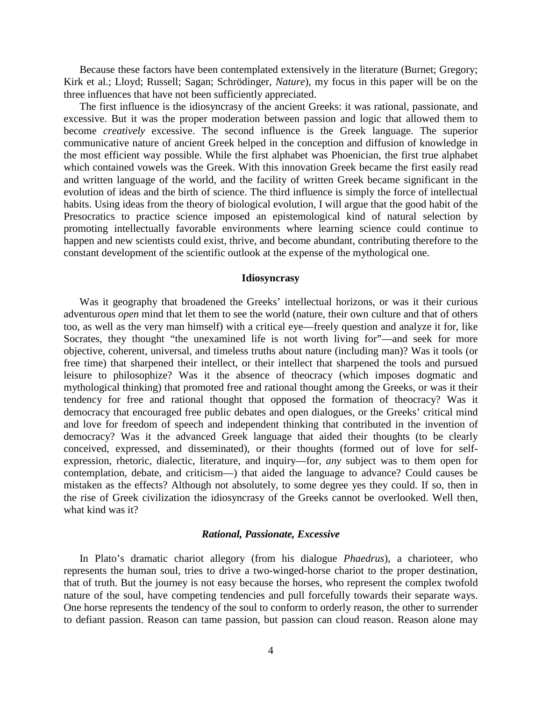Because these factors have been contemplated extensively in the literature (Burnet; Gregory; Kirk et al.; Lloyd; Russell; Sagan; Schrödinger, *Nature*), my focus in this paper will be on the three influences that have not been sufficiently appreciated.

The first influence is the idiosyncrasy of the ancient Greeks: it was rational, passionate, and excessive. But it was the proper moderation between passion and logic that allowed them to become *creatively* excessive. The second influence is the Greek language. The superior communicative nature of ancient Greek helped in the conception and diffusion of knowledge in the most efficient way possible. While the first alphabet was Phoenician, the first true alphabet which contained vowels was the Greek. With this innovation Greek became the first easily read and written language of the world, and the facility of written Greek became significant in the evolution of ideas and the birth of science. The third influence is simply the force of intellectual habits. Using ideas from the theory of biological evolution, I will argue that the good habit of the Presocratics to practice science imposed an epistemological kind of natural selection by promoting intellectually favorable environments where learning science could continue to happen and new scientists could exist, thrive, and become abundant, contributing therefore to the constant development of the scientific outlook at the expense of the mythological one.

#### **Idiosyncrasy**

Was it geography that broadened the Greeks' intellectual horizons, or was it their curious adventurous *open* mind that let them to see the world (nature, their own culture and that of others too, as well as the very man himself) with a critical eye—freely question and analyze it for, like Socrates, they thought "the unexamined life is not worth living for"—and seek for more objective, coherent, universal, and timeless truths about nature (including man)? Was it tools (or free time) that sharpened their intellect, or their intellect that sharpened the tools and pursued leisure to philosophize? Was it the absence of theocracy (which imposes dogmatic and mythological thinking) that promoted free and rational thought among the Greeks, or was it their tendency for free and rational thought that opposed the formation of theocracy? Was it democracy that encouraged free public debates and open dialogues, or the Greeks' critical mind and love for freedom of speech and independent thinking that contributed in the invention of democracy? Was it the advanced Greek language that aided their thoughts (to be clearly conceived, expressed, and disseminated), or their thoughts (formed out of love for selfexpression, rhetoric, dialectic, literature, and inquiry—for, *any* subject was to them open for contemplation, debate, and criticism—) that aided the language to advance? Could causes be mistaken as the effects? Although not absolutely, to some degree yes they could. If so, then in the rise of Greek civilization the idiosyncrasy of the Greeks cannot be overlooked. Well then, what kind was it?

#### *Rational, Passionate, Excessive*

In Plato's dramatic chariot allegory (from his dialogue *Phaedrus*), a charioteer, who represents the human soul, tries to drive a two-winged-horse chariot to the proper destination, that of truth. But the journey is not easy because the horses, who represent the complex twofold nature of the soul, have competing tendencies and pull forcefully towards their separate ways. One horse represents the tendency of the soul to conform to orderly reason, the other to surrender to defiant passion. Reason can tame passion, but passion can cloud reason. Reason alone may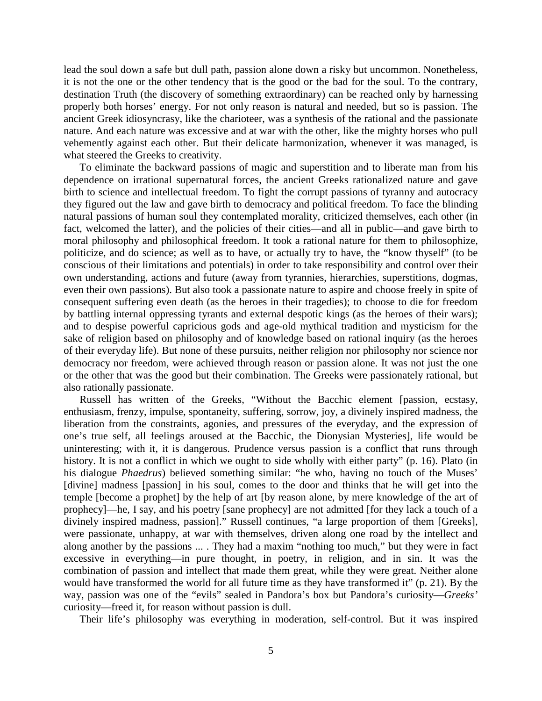lead the soul down a safe but dull path, passion alone down a risky but uncommon. Nonetheless, it is not the one or the other tendency that is the good or the bad for the soul. To the contrary, destination Truth (the discovery of something extraordinary) can be reached only by harnessing properly both horses' energy. For not only reason is natural and needed, but so is passion. The ancient Greek idiosyncrasy, like the charioteer, was a synthesis of the rational and the passionate nature. And each nature was excessive and at war with the other, like the mighty horses who pull vehemently against each other. But their delicate harmonization, whenever it was managed, is what steered the Greeks to creativity.

To eliminate the backward passions of magic and superstition and to liberate man from his dependence on irrational supernatural forces, the ancient Greeks rationalized nature and gave birth to science and intellectual freedom. To fight the corrupt passions of tyranny and autocracy they figured out the law and gave birth to democracy and political freedom. To face the blinding natural passions of human soul they contemplated morality, criticized themselves, each other (in fact, welcomed the latter), and the policies of their cities—and all in public—and gave birth to moral philosophy and philosophical freedom. It took a rational nature for them to philosophize, politicize, and do science; as well as to have, or actually try to have, the "know thyself" (to be conscious of their limitations and potentials) in order to take responsibility and control over their own understanding, actions and future (away from tyrannies, hierarchies, superstitions, dogmas, even their own passions). But also took a passionate nature to aspire and choose freely in spite of consequent suffering even death (as the heroes in their tragedies); to choose to die for freedom by battling internal oppressing tyrants and external despotic kings (as the heroes of their wars); and to despise powerful capricious gods and age-old mythical tradition and mysticism for the sake of religion based on philosophy and of knowledge based on rational inquiry (as the heroes of their everyday life). But none of these pursuits, neither religion nor philosophy nor science nor democracy nor freedom, were achieved through reason or passion alone. It was not just the one or the other that was the good but their combination. The Greeks were passionately rational, but also rationally passionate.

Russell has written of the Greeks, "Without the Bacchic element [passion, ecstasy, enthusiasm, frenzy, impulse, spontaneity, suffering, sorrow, joy, a divinely inspired madness, the liberation from the constraints, agonies, and pressures of the everyday, and the expression of one's true self, all feelings aroused at the Bacchic, the Dionysian Mysteries], life would be uninteresting; with it, it is dangerous. Prudence versus passion is a conflict that runs through history. It is not a conflict in which we ought to side wholly with either party" (p. 16). Plato (in his dialogue *Phaedrus*) believed something similar: "he who, having no touch of the Muses' [divine] madness [passion] in his soul, comes to the door and thinks that he will get into the temple [become a prophet] by the help of art [by reason alone, by mere knowledge of the art of prophecy]—he, I say, and his poetry [sane prophecy] are not admitted [for they lack a touch of a divinely inspired madness, passion]." Russell continues, "a large proportion of them [Greeks], were passionate, unhappy, at war with themselves, driven along one road by the intellect and along another by the passions ... . They had a maxim "nothing too much," but they were in fact excessive in everything—in pure thought, in poetry, in religion, and in sin. It was the combination of passion and intellect that made them great, while they were great. Neither alone would have transformed the world for all future time as they have transformed it" (p. 21). By the way, passion was one of the "evils" sealed in Pandora's box but Pandora's curiosity—*Greeks'* curiosity—freed it, for reason without passion is dull.

Their life's philosophy was everything in moderation, self-control. But it was inspired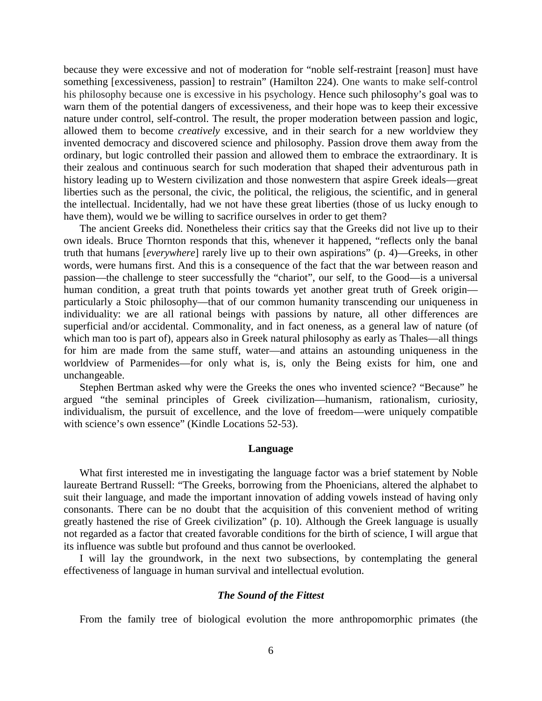because they were excessive and not of moderation for "noble self-restraint [reason] must have something [excessiveness, passion] to restrain" (Hamilton 224). One wants to make self-control his philosophy because one is excessive in his psychology. Hence such philosophy's goal was to warn them of the potential dangers of excessiveness, and their hope was to keep their excessive nature under control, self-control. The result, the proper moderation between passion and logic, allowed them to become *creatively* excessive, and in their search for a new worldview they invented democracy and discovered science and philosophy. Passion drove them away from the ordinary, but logic controlled their passion and allowed them to embrace the extraordinary. It is their zealous and continuous search for such moderation that shaped their adventurous path in history leading up to Western civilization and those nonwestern that aspire Greek ideals—great liberties such as the personal, the civic, the political, the religious, the scientific, and in general the intellectual. Incidentally, had we not have these great liberties (those of us lucky enough to have them), would we be willing to sacrifice ourselves in order to get them?

The ancient Greeks did. Nonetheless their critics say that the Greeks did not live up to their own ideals. Bruce Thornton responds that this, whenever it happened, "reflects only the banal truth that humans [*everywhere*] rarely live up to their own aspirations" (p. 4)—Greeks, in other words, were humans first. And this is a consequence of the fact that the war between reason and passion—the challenge to steer successfully the "chariot", our self, to the Good—is a universal human condition, a great truth that points towards yet another great truth of Greek origin particularly a Stoic philosophy—that of our common humanity transcending our uniqueness in individuality: we are all rational beings with passions by nature, all other differences are superficial and/or accidental. Commonality, and in fact oneness, as a general law of nature (of which man too is part of), appears also in Greek natural philosophy as early as Thales—all things for him are made from the same stuff, water—and attains an astounding uniqueness in the worldview of Parmenides—for only what is, is, only the Being exists for him, one and unchangeable.

Stephen Bertman asked why were the Greeks the ones who invented science? "Because" he argued "the seminal principles of Greek civilization—humanism, rationalism, curiosity, individualism, the pursuit of excellence, and the love of freedom—were uniquely compatible with science's own essence" (Kindle Locations 52-53).

#### **Language**

What first interested me in investigating the language factor was a brief statement by Noble laureate Bertrand Russell: "The Greeks, borrowing from the Phoenicians, altered the alphabet to suit their language, and made the important innovation of adding vowels instead of having only consonants. There can be no doubt that the acquisition of this convenient method of writing greatly hastened the rise of Greek civilization" (p. 10). Although the Greek language is usually not regarded as a factor that created favorable conditions for the birth of science, I will argue that its influence was subtle but profound and thus cannot be overlooked.

I will lay the groundwork, in the next two subsections, by contemplating the general effectiveness of language in human survival and intellectual evolution.

#### *The Sound of the Fittest*

From the family tree of biological evolution the more anthropomorphic primates (the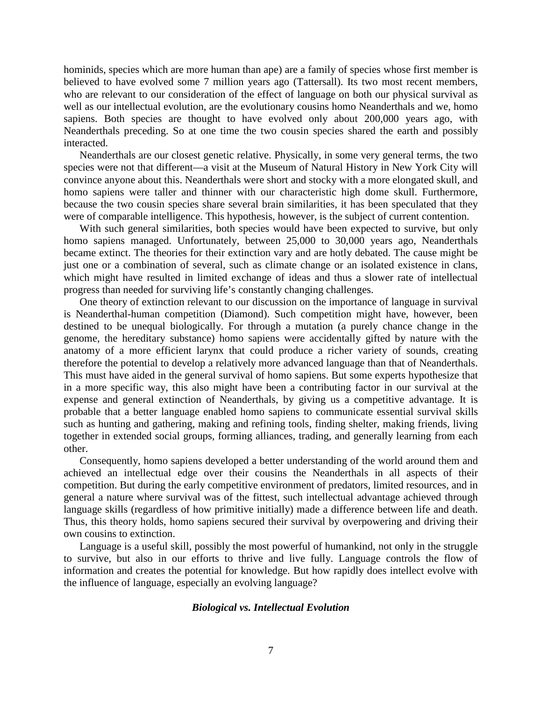hominids, species which are more human than ape) are a family of species whose first member is believed to have evolved some 7 million years ago (Tattersall). Its two most recent members, who are relevant to our consideration of the effect of language on both our physical survival as well as our intellectual evolution, are the evolutionary cousins homo Neanderthals and we, homo sapiens. Both species are thought to have evolved only about 200,000 years ago, with Neanderthals preceding. So at one time the two cousin species shared the earth and possibly interacted.

Neanderthals are our closest genetic relative. Physically, in some very general terms, the two species were not that different—a visit at the Museum of Natural History in New York City will convince anyone about this. Neanderthals were short and stocky with a more elongated skull, and homo sapiens were taller and thinner with our characteristic high dome skull. Furthermore, because the two cousin species share several brain similarities, it has been speculated that they were of comparable intelligence. This hypothesis, however, is the subject of current contention.

With such general similarities, both species would have been expected to survive, but only homo sapiens managed. Unfortunately, between 25,000 to 30,000 years ago, Neanderthals became extinct. The theories for their extinction vary and are hotly debated. The cause might be just one or a combination of several, such as climate change or an isolated existence in clans, which might have resulted in limited exchange of ideas and thus a slower rate of intellectual progress than needed for surviving life's constantly changing challenges.

One theory of extinction relevant to our discussion on the importance of language in survival is Neanderthal-human competition (Diamond). Such competition might have, however, been destined to be unequal biologically. For through a mutation (a purely chance change in the genome, the hereditary substance) homo sapiens were accidentally gifted by nature with the anatomy of a more efficient larynx that could produce a richer variety of sounds, creating therefore the potential to develop a relatively more advanced language than that of Neanderthals. This must have aided in the general survival of homo sapiens. But some experts hypothesize that in a more specific way, this also might have been a contributing factor in our survival at the expense and general extinction of Neanderthals, by giving us a competitive advantage. It is probable that a better language enabled homo sapiens to communicate essential survival skills such as hunting and gathering, making and refining tools, finding shelter, making friends, living together in extended social groups, forming alliances, trading, and generally learning from each other.

Consequently, homo sapiens developed a better understanding of the world around them and achieved an intellectual edge over their cousins the Neanderthals in all aspects of their competition. But during the early competitive environment of predators, limited resources, and in general a nature where survival was of the fittest, such intellectual advantage achieved through language skills (regardless of how primitive initially) made a difference between life and death. Thus, this theory holds, homo sapiens secured their survival by overpowering and driving their own cousins to extinction.

Language is a useful skill, possibly the most powerful of humankind, not only in the struggle to survive, but also in our efforts to thrive and live fully. Language controls the flow of information and creates the potential for knowledge. But how rapidly does intellect evolve with the influence of language, especially an evolving language?

#### *Biological vs. Intellectual Evolution*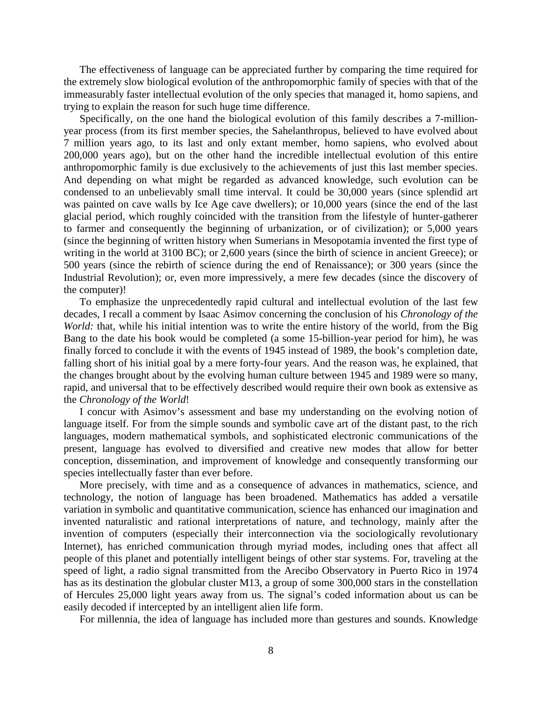The effectiveness of language can be appreciated further by comparing the time required for the extremely slow biological evolution of the anthropomorphic family of species with that of the immeasurably faster intellectual evolution of the only species that managed it, homo sapiens, and trying to explain the reason for such huge time difference.

Specifically, on the one hand the biological evolution of this family describes a 7-millionyear process (from its first member species, the Sahelanthropus, believed to have evolved about 7 million years ago, to its last and only extant member, homo sapiens, who evolved about 200,000 years ago), but on the other hand the incredible intellectual evolution of this entire anthropomorphic family is due exclusively to the achievements of just this last member species. And depending on what might be regarded as advanced knowledge, such evolution can be condensed to an unbelievably small time interval. It could be 30,000 years (since splendid art was painted on cave walls by Ice Age cave dwellers); or 10,000 years (since the end of the last glacial period, which roughly coincided with the transition from the lifestyle of hunter-gatherer to farmer and consequently the beginning of urbanization, or of civilization); or 5,000 years (since the beginning of written history when Sumerians in Mesopotamia invented the first type of writing in the world at 3100 BC); or 2,600 years (since the birth of science in ancient Greece); or 500 years (since the rebirth of science during the end of Renaissance); or 300 years (since the Industrial Revolution); or, even more impressively, a mere few decades (since the discovery of the computer)!

To emphasize the unprecedentedly rapid cultural and intellectual evolution of the last few decades, I recall a comment by Isaac Asimov concerning the conclusion of his *Chronology of the World:* that, while his initial intention was to write the entire history of the world, from the Big Bang to the date his book would be completed (a some 15-billion-year period for him), he was finally forced to conclude it with the events of 1945 instead of 1989, the book's completion date, falling short of his initial goal by a mere forty-four years. And the reason was, he explained, that the changes brought about by the evolving human culture between 1945 and 1989 were so many, rapid, and universal that to be effectively described would require their own book as extensive as the *Chronology of the World*!

I concur with Asimov's assessment and base my understanding on the evolving notion of language itself. For from the simple sounds and symbolic cave art of the distant past, to the rich languages, modern mathematical symbols, and sophisticated electronic communications of the present, language has evolved to diversified and creative new modes that allow for better conception, dissemination, and improvement of knowledge and consequently transforming our species intellectually faster than ever before.

More precisely, with time and as a consequence of advances in mathematics, science, and technology, the notion of language has been broadened. Mathematics has added a versatile variation in symbolic and quantitative communication, science has enhanced our imagination and invented naturalistic and rational interpretations of nature, and technology, mainly after the invention of computers (especially their interconnection via the sociologically revolutionary Internet), has enriched communication through myriad modes, including ones that affect all people of this planet and potentially intelligent beings of other star systems. For, traveling at the speed of light, a radio signal transmitted from the Arecibo Observatory in Puerto Rico in 1974 has as its destination the globular cluster M13, a group of some 300,000 stars in the constellation of Hercules 25,000 light years away from us. The signal's coded information about us can be easily decoded if intercepted by an intelligent alien life form.

For millennia, the idea of language has included more than gestures and sounds. Knowledge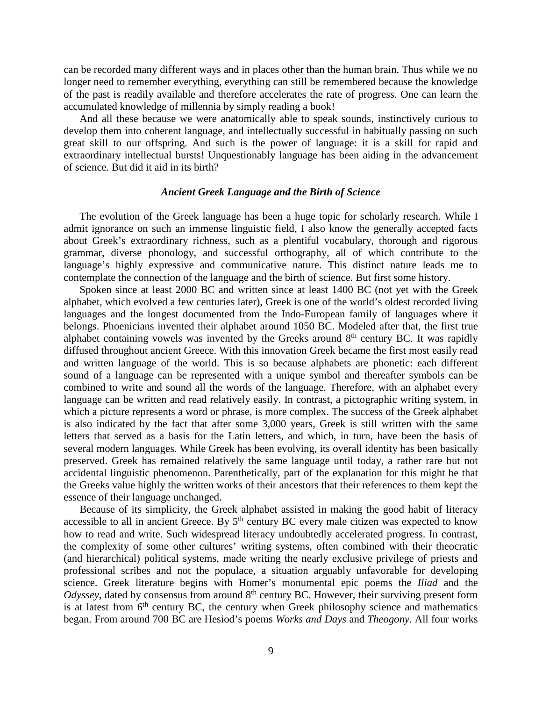can be recorded many different ways and in places other than the human brain. Thus while we no longer need to remember everything, everything can still be remembered because the knowledge of the past is readily available and therefore accelerates the rate of progress. One can learn the accumulated knowledge of millennia by simply reading a book!

And all these because we were anatomically able to speak sounds, instinctively curious to develop them into coherent language, and intellectually successful in habitually passing on such great skill to our offspring. And such is the power of language: it is a skill for rapid and extraordinary intellectual bursts! Unquestionably language has been aiding in the advancement of science. But did it aid in its birth?

#### *Ancient Greek Language and the Birth of Science*

The evolution of the Greek language has been a huge topic for scholarly research. While I admit ignorance on such an immense linguistic field, I also know the generally accepted facts about Greek's extraordinary richness, such as a plentiful vocabulary, thorough and rigorous grammar, diverse phonology, and successful orthography, all of which contribute to the language's highly expressive and communicative nature. This distinct nature leads me to contemplate the connection of the language and the birth of science. But first some history.

Spoken since at least 2000 BC and written since at least 1400 BC (not yet with the Greek alphabet, which evolved a few centuries later), Greek is one of the world's oldest recorded living languages and the longest documented from the Indo-European family of languages where it belongs. Phoenicians invented their alphabet around 1050 BC. Modeled after that, the first true alphabet containing vowels was invented by the Greeks around  $8<sup>th</sup>$  century BC. It was rapidly diffused throughout ancient Greece. With this innovation Greek became the first most easily read and written language of the world. This is so because alphabets are phonetic: each different sound of a language can be represented with a unique symbol and thereafter symbols can be combined to write and sound all the words of the language. Therefore, with an alphabet every language can be written and read relatively easily. In contrast, a pictographic writing system, in which a picture represents a word or phrase, is more complex. The success of the Greek alphabet is also indicated by the fact that after some 3,000 years, Greek is still written with the same letters that served as a basis for the Latin letters, and which, in turn, have been the basis of several modern languages. While Greek has been evolving, its overall identity has been basically preserved. Greek has remained relatively the same language until today, a rather rare but not accidental linguistic phenomenon. Parenthetically, part of the explanation for this might be that the Greeks value highly the written works of their ancestors that their references to them kept the essence of their language unchanged.

Because of its simplicity, the Greek alphabet assisted in making the good habit of literacy accessible to all in ancient Greece. By  $5<sup>th</sup>$  century BC every male citizen was expected to know how to read and write. Such widespread literacy undoubtedly accelerated progress. In contrast, the complexity of some other cultures' writing systems, often combined with their theocratic (and hierarchical) political systems, made writing the nearly exclusive privilege of priests and professional scribes and not the populace, a situation arguably unfavorable for developing science. Greek literature begins with Homer's monumental epic poems the *Iliad* and the *Odyssey*, dated by consensus from around 8<sup>th</sup> century BC. However, their surviving present form is at latest from  $6<sup>th</sup>$  century BC, the century when Greek philosophy science and mathematics began. From around 700 BC are Hesiod's poems *Works and Days* and *Theogony*. All four works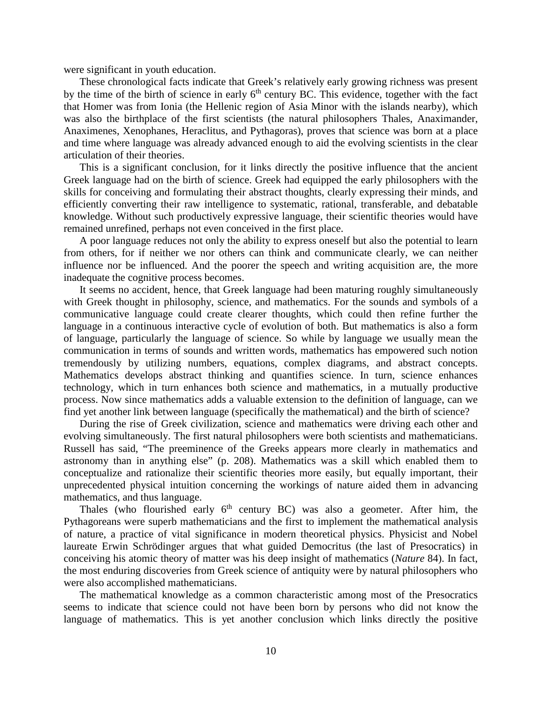were significant in youth education.

These chronological facts indicate that Greek's relatively early growing richness was present by the time of the birth of science in early  $6<sup>th</sup>$  century BC. This evidence, together with the fact that Homer was from Ionia (the Hellenic region of Asia Minor with the islands nearby), which was also the birthplace of the first scientists (the natural philosophers Thales, Anaximander, Anaximenes, Xenophanes, Heraclitus, and Pythagoras), proves that science was born at a place and time where language was already advanced enough to aid the evolving scientists in the clear articulation of their theories.

This is a significant conclusion, for it links directly the positive influence that the ancient Greek language had on the birth of science. Greek had equipped the early philosophers with the skills for conceiving and formulating their abstract thoughts, clearly expressing their minds, and efficiently converting their raw intelligence to systematic, rational, transferable, and debatable knowledge. Without such productively expressive language, their scientific theories would have remained unrefined, perhaps not even conceived in the first place.

A poor language reduces not only the ability to express oneself but also the potential to learn from others, for if neither we nor others can think and communicate clearly, we can neither influence nor be influenced. And the poorer the speech and writing acquisition are, the more inadequate the cognitive process becomes.

It seems no accident, hence, that Greek language had been maturing roughly simultaneously with Greek thought in philosophy, science, and mathematics. For the sounds and symbols of a communicative language could create clearer thoughts, which could then refine further the language in a continuous interactive cycle of evolution of both. But mathematics is also a form of language, particularly the language of science. So while by language we usually mean the communication in terms of sounds and written words, mathematics has empowered such notion tremendously by utilizing numbers, equations, complex diagrams, and abstract concepts. Mathematics develops abstract thinking and quantifies science. In turn, science enhances technology, which in turn enhances both science and mathematics, in a mutually productive process. Now since mathematics adds a valuable extension to the definition of language, can we find yet another link between language (specifically the mathematical) and the birth of science?

During the rise of Greek civilization, science and mathematics were driving each other and evolving simultaneously. The first natural philosophers were both scientists and mathematicians. Russell has said, "The preeminence of the Greeks appears more clearly in mathematics and astronomy than in anything else" (p. 208). Mathematics was a skill which enabled them to conceptualize and rationalize their scientific theories more easily, but equally important, their unprecedented physical intuition concerning the workings of nature aided them in advancing mathematics, and thus language.

Thales (who flourished early  $6<sup>th</sup>$  century BC) was also a geometer. After him, the Pythagoreans were superb mathematicians and the first to implement the mathematical analysis of nature, a practice of vital significance in modern theoretical physics. Physicist and Nobel laureate Erwin Schrödinger argues that what guided Democritus (the last of Presocratics) in conceiving his atomic theory of matter was his deep insight of mathematics (*Nature* 84). In fact, the most enduring discoveries from Greek science of antiquity were by natural philosophers who were also accomplished mathematicians.

The mathematical knowledge as a common characteristic among most of the Presocratics seems to indicate that science could not have been born by persons who did not know the language of mathematics. This is yet another conclusion which links directly the positive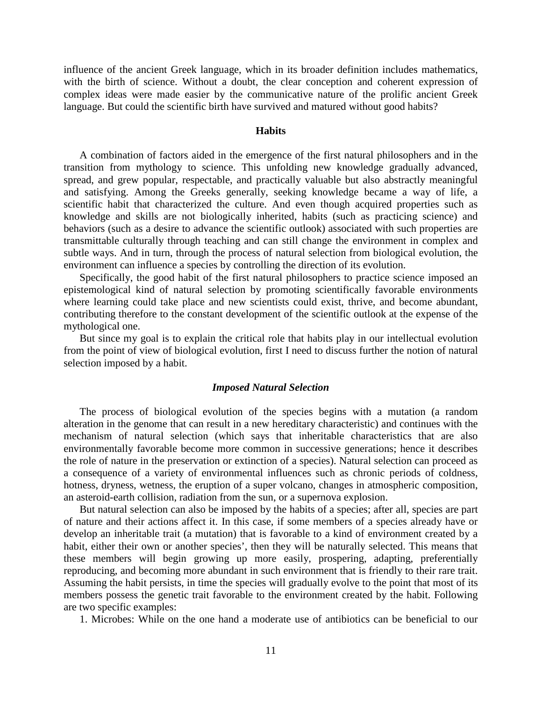influence of the ancient Greek language, which in its broader definition includes mathematics, with the birth of science. Without a doubt, the clear conception and coherent expression of complex ideas were made easier by the communicative nature of the prolific ancient Greek language. But could the scientific birth have survived and matured without good habits?

#### **Habits**

A combination of factors aided in the emergence of the first natural philosophers and in the transition from mythology to science. This unfolding new knowledge gradually advanced, spread, and grew popular, respectable, and practically valuable but also abstractly meaningful and satisfying. Among the Greeks generally, seeking knowledge became a way of life, a scientific habit that characterized the culture. And even though acquired properties such as knowledge and skills are not biologically inherited, habits (such as practicing science) and behaviors (such as a desire to advance the scientific outlook) associated with such properties are transmittable culturally through teaching and can still change the environment in complex and subtle ways. And in turn, through the process of natural selection from biological evolution, the environment can influence a species by controlling the direction of its evolution.

Specifically, the good habit of the first natural philosophers to practice science imposed an epistemological kind of natural selection by promoting scientifically favorable environments where learning could take place and new scientists could exist, thrive, and become abundant, contributing therefore to the constant development of the scientific outlook at the expense of the mythological one.

But since my goal is to explain the critical role that habits play in our intellectual evolution from the point of view of biological evolution, first I need to discuss further the notion of natural selection imposed by a habit.

#### *Imposed Natural Selection*

The process of biological evolution of the species begins with a mutation (a random alteration in the genome that can result in a new hereditary characteristic) and continues with the mechanism of natural selection (which says that inheritable characteristics that are also environmentally favorable become more common in successive generations; hence it describes the role of nature in the preservation or extinction of a species). Natural selection can proceed as a consequence of a variety of environmental influences such as chronic periods of coldness, hotness, dryness, wetness, the eruption of a super volcano, changes in atmospheric composition, an asteroid-earth collision, radiation from the sun, or a supernova explosion.

But natural selection can also be imposed by the habits of a species; after all, species are part of nature and their actions affect it. In this case, if some members of a species already have or develop an inheritable trait (a mutation) that is favorable to a kind of environment created by a habit, either their own or another species', then they will be naturally selected. This means that these members will begin growing up more easily, prospering, adapting, preferentially reproducing, and becoming more abundant in such environment that is friendly to their rare trait. Assuming the habit persists, in time the species will gradually evolve to the point that most of its members possess the genetic trait favorable to the environment created by the habit. Following are two specific examples:

1. Microbes: While on the one hand a moderate use of antibiotics can be beneficial to our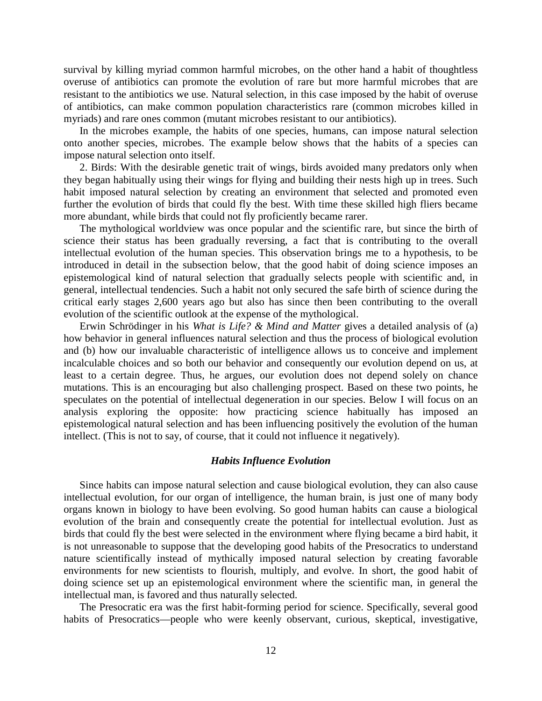survival by killing myriad common harmful microbes, on the other hand a habit of thoughtless overuse of antibiotics can promote the evolution of rare but more harmful microbes that are resistant to the antibiotics we use. Natural selection, in this case imposed by the habit of overuse of antibiotics, can make common population characteristics rare (common microbes killed in myriads) and rare ones common (mutant microbes resistant to our antibiotics).

In the microbes example, the habits of one species, humans, can impose natural selection onto another species, microbes. The example below shows that the habits of a species can impose natural selection onto itself.

2. Birds: With the desirable genetic trait of wings, birds avoided many predators only when they began habitually using their wings for flying and building their nests high up in trees. Such habit imposed natural selection by creating an environment that selected and promoted even further the evolution of birds that could fly the best. With time these skilled high fliers became more abundant, while birds that could not fly proficiently became rarer.

The mythological worldview was once popular and the scientific rare, but since the birth of science their status has been gradually reversing, a fact that is contributing to the overall intellectual evolution of the human species. This observation brings me to a hypothesis, to be introduced in detail in the subsection below, that the good habit of doing science imposes an epistemological kind of natural selection that gradually selects people with scientific and, in general, intellectual tendencies. Such a habit not only secured the safe birth of science during the critical early stages 2,600 years ago but also has since then been contributing to the overall evolution of the scientific outlook at the expense of the mythological.

Erwin Schrödinger in his *What is Life? & Mind and Matter* gives a detailed analysis of (a) how behavior in general influences natural selection and thus the process of biological evolution and (b) how our invaluable characteristic of intelligence allows us to conceive and implement incalculable choices and so both our behavior and consequently our evolution depend on us, at least to a certain degree. Thus, he argues, our evolution does not depend solely on chance mutations. This is an encouraging but also challenging prospect. Based on these two points, he speculates on the potential of intellectual degeneration in our species. Below I will focus on an analysis exploring the opposite: how practicing science habitually has imposed an epistemological natural selection and has been influencing positively the evolution of the human intellect. (This is not to say, of course, that it could not influence it negatively).

#### *Habits Influence Evolution*

Since habits can impose natural selection and cause biological evolution, they can also cause intellectual evolution, for our organ of intelligence, the human brain, is just one of many body organs known in biology to have been evolving. So good human habits can cause a biological evolution of the brain and consequently create the potential for intellectual evolution. Just as birds that could fly the best were selected in the environment where flying became a bird habit, it is not unreasonable to suppose that the developing good habits of the Presocratics to understand nature scientifically instead of mythically imposed natural selection by creating favorable environments for new scientists to flourish, multiply, and evolve. In short, the good habit of doing science set up an epistemological environment where the scientific man, in general the intellectual man, is favored and thus naturally selected.

The Presocratic era was the first habit-forming period for science. Specifically, several good habits of Presocratics—people who were keenly observant, curious, skeptical, investigative,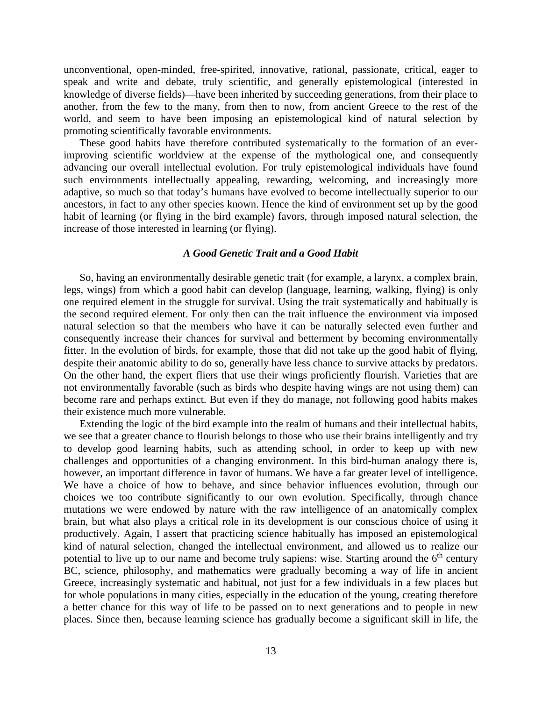unconventional, open-minded, free-spirited, innovative, rational, passionate, critical, eager to speak and write and debate, truly scientific, and generally epistemological (interested in knowledge of diverse fields)—have been inherited by succeeding generations, from their place to another, from the few to the many, from then to now, from ancient Greece to the rest of the world, and seem to have been imposing an epistemological kind of natural selection by promoting scientifically favorable environments.

These good habits have therefore contributed systematically to the formation of an everimproving scientific worldview at the expense of the mythological one, and consequently advancing our overall intellectual evolution. For truly epistemological individuals have found such environments intellectually appealing, rewarding, welcoming, and increasingly more adaptive, so much so that today's humans have evolved to become intellectually superior to our ancestors, in fact to any other species known. Hence the kind of environment set up by the good habit of learning (or flying in the bird example) favors, through imposed natural selection, the increase of those interested in learning (or flying).

# *A Good Genetic Trait and a Good Habit*

So, having an environmentally desirable genetic trait (for example, a larynx, a complex brain, legs, wings) from which a good habit can develop (language, learning, walking, flying) is only one required element in the struggle for survival. Using the trait systematically and habitually is the second required element. For only then can the trait influence the environment via imposed natural selection so that the members who have it can be naturally selected even further and consequently increase their chances for survival and betterment by becoming environmentally fitter. In the evolution of birds, for example, those that did not take up the good habit of flying, despite their anatomic ability to do so, generally have less chance to survive attacks by predators. On the other hand, the expert fliers that use their wings proficiently flourish. Varieties that are not environmentally favorable (such as birds who despite having wings are not using them) can become rare and perhaps extinct. But even if they do manage, not following good habits makes their existence much more vulnerable.

Extending the logic of the bird example into the realm of humans and their intellectual habits, we see that a greater chance to flourish belongs to those who use their brains intelligently and try to develop good learning habits, such as attending school, in order to keep up with new challenges and opportunities of a changing environment. In this bird-human analogy there is, however, an important difference in favor of humans. We have a far greater level of intelligence. We have a choice of how to behave, and since behavior influences evolution, through our choices we too contribute significantly to our own evolution. Specifically, through chance mutations we were endowed by nature with the raw intelligence of an anatomically complex brain, but what also plays a critical role in its development is our conscious choice of using it productively. Again, I assert that practicing science habitually has imposed an epistemological kind of natural selection, changed the intellectual environment, and allowed us to realize our potential to live up to our name and become truly sapiens: wise. Starting around the  $6<sup>th</sup>$  century BC, science, philosophy, and mathematics were gradually becoming a way of life in ancient Greece, increasingly systematic and habitual, not just for a few individuals in a few places but for whole populations in many cities, especially in the education of the young, creating therefore a better chance for this way of life to be passed on to next generations and to people in new places. Since then, because learning science has gradually become a significant skill in life, the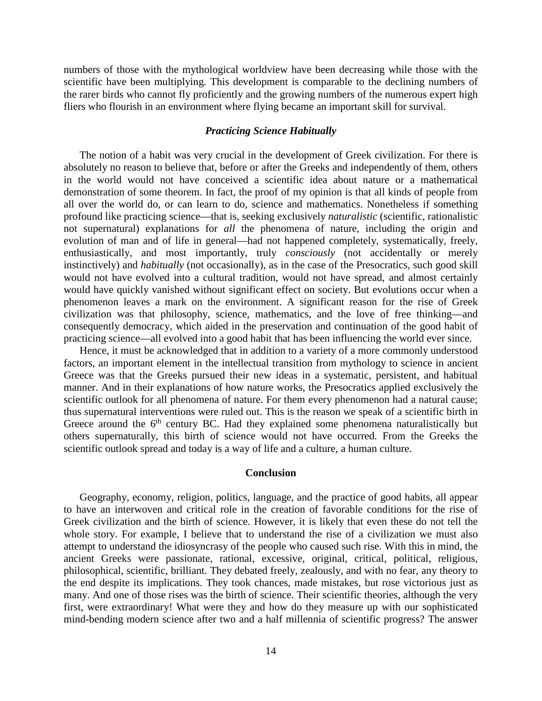numbers of those with the mythological worldview have been decreasing while those with the scientific have been multiplying. This development is comparable to the declining numbers of the rarer birds who cannot fly proficiently and the growing numbers of the numerous expert high fliers who flourish in an environment where flying became an important skill for survival.

# *Practicing Science Habitually*

The notion of a habit was very crucial in the development of Greek civilization. For there is absolutely no reason to believe that, before or after the Greeks and independently of them, others in the world would not have conceived a scientific idea about nature or a mathematical demonstration of some theorem. In fact, the proof of my opinion is that all kinds of people from all over the world do, or can learn to do, science and mathematics. Nonetheless if something profound like practicing science—that is, seeking exclusively *naturalistic* (scientific, rationalistic not supernatural) explanations for *all* the phenomena of nature, including the origin and evolution of man and of life in general—had not happened completely, systematically, freely, enthusiastically, and most importantly, truly *consciously* (not accidentally or merely instinctively) and *habitually* (not occasionally), as in the case of the Presocratics, such good skill would not have evolved into a cultural tradition, would not have spread, and almost certainly would have quickly vanished without significant effect on society. But evolutions occur when a phenomenon leaves a mark on the environment. A significant reason for the rise of Greek civilization was that philosophy, science, mathematics, and the love of free thinking—and consequently democracy, which aided in the preservation and continuation of the good habit of practicing science—all evolved into a good habit that has been influencing the world ever since.

Hence, it must be acknowledged that in addition to a variety of a more commonly understood factors, an important element in the intellectual transition from mythology to science in ancient Greece was that the Greeks pursued their new ideas in a systematic, persistent, and habitual manner. And in their explanations of how nature works, the Presocratics applied exclusively the scientific outlook for all phenomena of nature. For them every phenomenon had a natural cause; thus supernatural interventions were ruled out. This is the reason we speak of a scientific birth in Greece around the  $6<sup>th</sup>$  century BC. Had they explained some phenomena naturalistically but others supernaturally, this birth of science would not have occurred. From the Greeks the scientific outlook spread and today is a way of life and a culture, a human culture.

#### **Conclusion**

Geography, economy, religion, politics, language, and the practice of good habits, all appear to have an interwoven and critical role in the creation of favorable conditions for the rise of Greek civilization and the birth of science. However, it is likely that even these do not tell the whole story. For example, I believe that to understand the rise of a civilization we must also attempt to understand the idiosyncrasy of the people who caused such rise. With this in mind, the ancient Greeks were passionate, rational, excessive, original, critical, political, religious, philosophical, scientific, brilliant. They debated freely, zealously, and with no fear, any theory to the end despite its implications. They took chances, made mistakes, but rose victorious just as many. And one of those rises was the birth of science. Their scientific theories, although the very first, were extraordinary! What were they and how do they measure up with our sophisticated mind-bending modern science after two and a half millennia of scientific progress? The answer